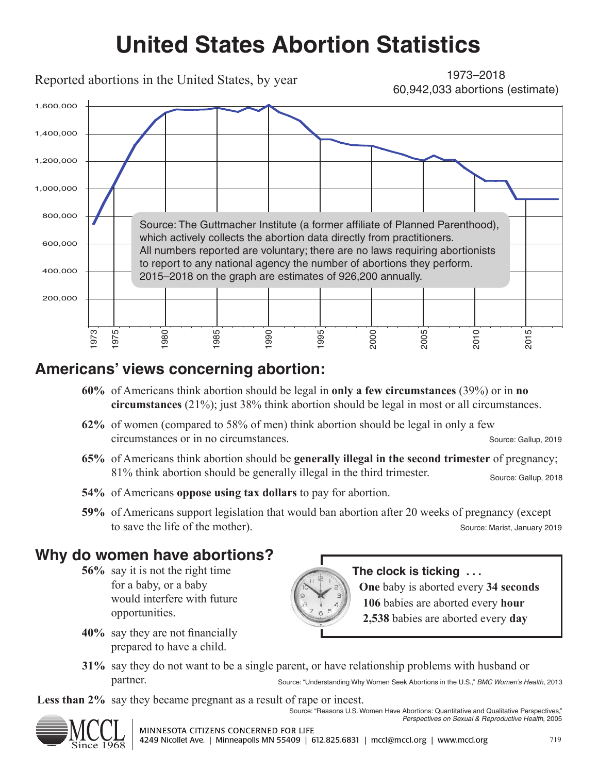# **United States Abortion Statistics**

Reported abortions in the United States, by year

1973–2018 60,942,033 abortions (estimate)



### **Americans' views concerning abortion:**

- **60%** of Americans think abortion should be legal in **only a few circumstances** (39%) or in **no circumstances** (21%); just 38% think abortion should be legal in most or all circumstances.
- **62%** of women (compared to 58% of men) think abortion should be legal in only a few circumstances or in no circumstances. Source: Gallup, 2019
- **65%** of Americans think abortion should be **generally illegal in the second trimester** of pregnancy; 81% think abortion should be generally illegal in the third trimester. Source: Gallup, 2018
- **54%** of Americans **oppose using tax dollars** to pay for abortion.
- **59%** of Americans support legislation that would ban abortion after 20 weeks of pregnancy (except to save the life of the mother). Source: Marist, January 2019

## **Why do women have abortions?**

- **56%** say it is not the right time for a baby, or a baby would interfere with future opportunities.
- **40%** say they are not financially prepared to have a child.



#### **The clock is ticking . . .**

**One** baby is aborted every **34 seconds 106** babies are aborted every **hour 2,538** babies are aborted every **day**

**31%** say they do not want to be a single parent, or have relationship problems with husband or partner. Source: "Understanding Why Women Seek Abortions in the U.S.," *BMC Women's Health*, 2013

Less than 2% say they became pregnant as a result of rape or incest. Source: "Reasons U.S. Women Have Abortions: Quantitative and Qualitative Perspectives,"